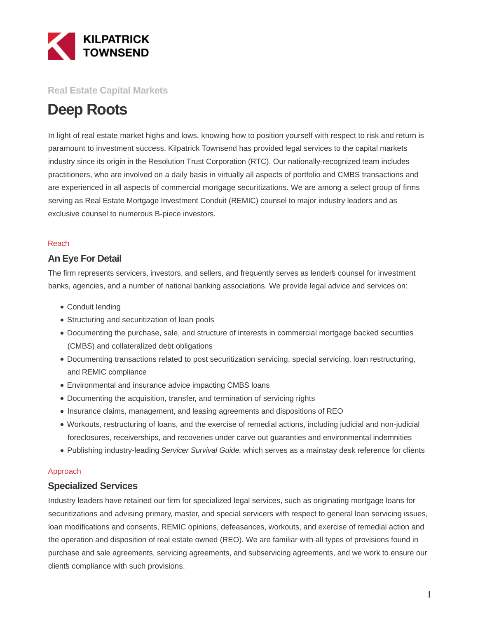

### **Real Estate Capital Markets**

# **Deep Roots**

In light of real estate market highs and lows, knowing how to position yourself with respect to risk and return is paramount to investment success. Kilpatrick Townsend has provided legal services to the capital markets industry since its origin in the Resolution Trust Corporation (RTC). Our nationally-recognized team includes practitioners, who are involved on a daily basis in virtually all aspects of portfolio and CMBS transactions and are experienced in all aspects of commercial mortgage securitizations. We are among a select group of firms serving as Real Estate Mortgage Investment Conduit (REMIC) counsel to major industry leaders and as exclusive counsel to numerous B-piece investors.

#### Reach

### **An Eye For Detail**

The firm represents servicers, investors, and sellers, and frequently serves as lender's counsel for investment banks, agencies, and a number of national banking associations. We provide legal advice and services on:

- Conduit lending
- Structuring and securitization of loan pools
- Documenting the purchase, sale, and structure of interests in commercial mortgage backed securities (CMBS) and collateralized debt obligations
- Documenting transactions related to post securitization servicing, special servicing, loan restructuring, and REMIC compliance
- Environmental and insurance advice impacting CMBS loans
- Documenting the acquisition, transfer, and termination of servicing rights
- Insurance claims, management, and leasing agreements and dispositions of REO
- Workouts, restructuring of loans, and the exercise of remedial actions, including judicial and non-judicial foreclosures, receiverships, and recoveries under carve out guaranties and environmental indemnities
- Publishing industry-leading Servicer Survival Guide, which serves as a mainstay desk reference for clients

#### Approach

### **Specialized Services**

Industry leaders have retained our firm for specialized legal services, such as originating mortgage loans for securitizations and advising primary, master, and special servicers with respect to general loan servicing issues, loan modifications and consents, REMIC opinions, defeasances, workouts, and exercise of remedial action and the operation and disposition of real estate owned (REO). We are familiar with all types of provisions found in purchase and sale agreements, servicing agreements, and subservicing agreements, and we work to ensure our client's compliance with such provisions.